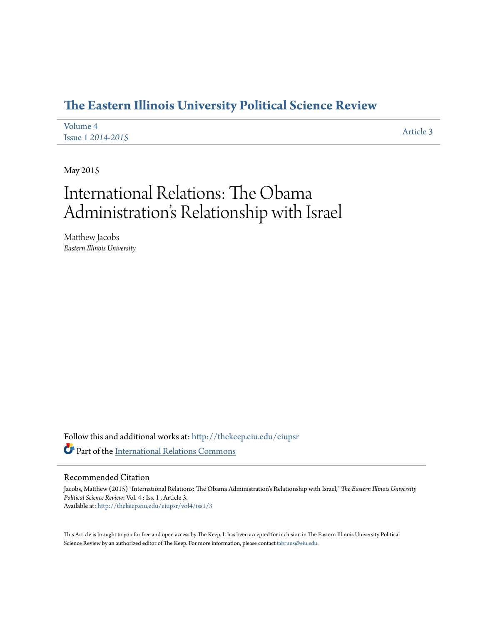## **[The Eastern Illinois University Political Science Review](http://thekeep.eiu.edu/eiupsr?utm_source=thekeep.eiu.edu%2Feiupsr%2Fvol4%2Fiss1%2F3&utm_medium=PDF&utm_campaign=PDFCoverPages)**

| Volume 4                 | Article 3 |
|--------------------------|-----------|
| <b>Issue 1 2014-2015</b> |           |

May 2015

# International Relations: The Obama Administration's Relationship with Israel

Matthew Jacobs *Eastern Illinois University*

Follow this and additional works at: [http://thekeep.eiu.edu/eiupsr](http://thekeep.eiu.edu/eiupsr?utm_source=thekeep.eiu.edu%2Feiupsr%2Fvol4%2Fiss1%2F3&utm_medium=PDF&utm_campaign=PDFCoverPages) Part of the [International Relations Commons](http://network.bepress.com/hgg/discipline/389?utm_source=thekeep.eiu.edu%2Feiupsr%2Fvol4%2Fiss1%2F3&utm_medium=PDF&utm_campaign=PDFCoverPages)

#### Recommended Citation

Jacobs, Matthew (2015) "International Relations: The Obama Administration's Relationship with Israel," *The Eastern Illinois University Political Science Review*: Vol. 4 : Iss. 1 , Article 3. Available at: [http://thekeep.eiu.edu/eiupsr/vol4/iss1/3](http://thekeep.eiu.edu/eiupsr/vol4/iss1/3?utm_source=thekeep.eiu.edu%2Feiupsr%2Fvol4%2Fiss1%2F3&utm_medium=PDF&utm_campaign=PDFCoverPages)

This Article is brought to you for free and open access by The Keep. It has been accepted for inclusion in The Eastern Illinois University Political Science Review by an authorized editor of The Keep. For more information, please contact [tabruns@eiu.edu](mailto:tabruns@eiu.edu).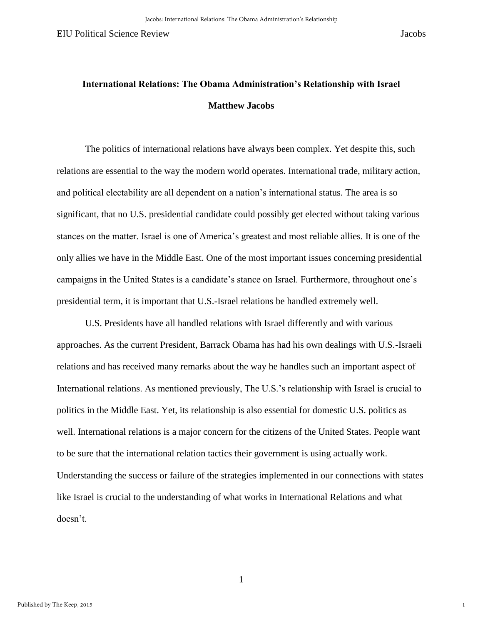1

# **International Relations: The Obama Administration's Relationship with Israel Matthew Jacobs**

The politics of international relations have always been complex. Yet despite this, such relations are essential to the way the modern world operates. International trade, military action, and political electability are all dependent on a nation's international status. The area is so significant, that no U.S. presidential candidate could possibly get elected without taking various stances on the matter. Israel is one of America's greatest and most reliable allies. It is one of the only allies we have in the Middle East. One of the most important issues concerning presidential campaigns in the United States is a candidate's stance on Israel. Furthermore, throughout one's presidential term, it is important that U.S.-Israel relations be handled extremely well.

U.S. Presidents have all handled relations with Israel differently and with various approaches. As the current President, Barrack Obama has had his own dealings with U.S.-Israeli relations and has received many remarks about the way he handles such an important aspect of International relations. As mentioned previously, The U.S.'s relationship with Israel is crucial to politics in the Middle East. Yet, its relationship is also essential for domestic U.S. politics as well. International relations is a major concern for the citizens of the United States. People want to be sure that the international relation tactics their government is using actually work. Understanding the success or failure of the strategies implemented in our connections with states like Israel is crucial to the understanding of what works in International Relations and what doesn't.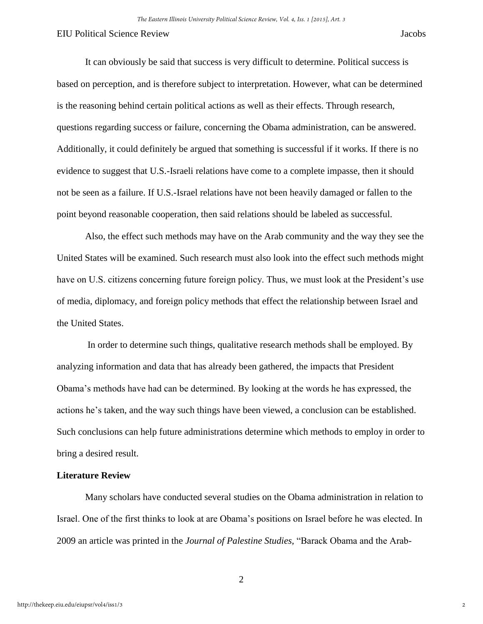It can obviously be said that success is very difficult to determine. Political success is based on perception, and is therefore subject to interpretation. However, what can be determined is the reasoning behind certain political actions as well as their effects. Through research, questions regarding success or failure, concerning the Obama administration, can be answered. Additionally, it could definitely be argued that something is successful if it works. If there is no evidence to suggest that U.S.-Israeli relations have come to a complete impasse, then it should not be seen as a failure. If U.S.-Israel relations have not been heavily damaged or fallen to the point beyond reasonable cooperation, then said relations should be labeled as successful.

Also, the effect such methods may have on the Arab community and the way they see the United States will be examined. Such research must also look into the effect such methods might have on U.S. citizens concerning future foreign policy. Thus, we must look at the President's use of media, diplomacy, and foreign policy methods that effect the relationship between Israel and the United States.

 In order to determine such things, qualitative research methods shall be employed. By analyzing information and data that has already been gathered, the impacts that President Obama's methods have had can be determined. By looking at the words he has expressed, the actions he's taken, and the way such things have been viewed, a conclusion can be established. Such conclusions can help future administrations determine which methods to employ in order to bring a desired result.

#### **Literature Review**

Many scholars have conducted several studies on the Obama administration in relation to Israel. One of the first thinks to look at are Obama's positions on Israel before he was elected. In 2009 an article was printed in the *Journal of Palestine Studies,* "Barack Obama and the Arab-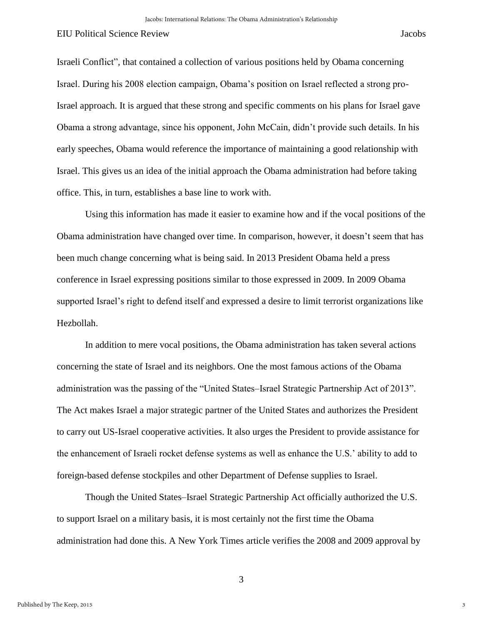3

Israeli Conflict"*,* that contained a collection of various positions held by Obama concerning Israel. During his 2008 election campaign, Obama's position on Israel reflected a strong pro-Israel approach. It is argued that these strong and specific comments on his plans for Israel gave Obama a strong advantage, since his opponent, John McCain, didn't provide such details. In his early speeches, Obama would reference the importance of maintaining a good relationship with Israel. This gives us an idea of the initial approach the Obama administration had before taking office. This, in turn, establishes a base line to work with.

Using this information has made it easier to examine how and if the vocal positions of the Obama administration have changed over time. In comparison, however, it doesn't seem that has been much change concerning what is being said. In 2013 President Obama held a press conference in Israel expressing positions similar to those expressed in 2009. In 2009 Obama supported Israel's right to defend itself and expressed a desire to limit terrorist organizations like Hezbollah.

In addition to mere vocal positions, the Obama administration has taken several actions concerning the state of Israel and its neighbors. One the most famous actions of the Obama administration was the passing of the "United States–Israel Strategic Partnership Act of 2013". The Act makes Israel a major strategic partner of the United States and authorizes the President to carry out US-Israel cooperative activities. It also urges the President to provide assistance for the enhancement of Israeli rocket defense systems as well as enhance the U.S.' ability to add to foreign-based defense stockpiles and other Department of Defense supplies to Israel.

Though the United States–Israel Strategic Partnership Act officially authorized the U.S. to support Israel on a military basis, it is most certainly not the first time the Obama administration had done this. A New York Times article verifies the 2008 and 2009 approval by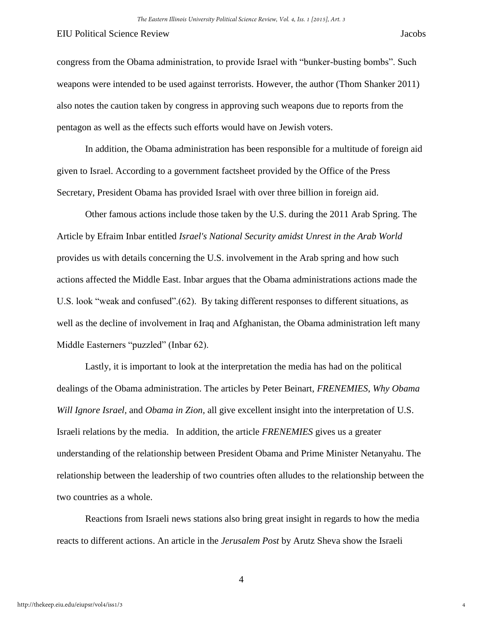congress from the Obama administration, to provide Israel with "bunker-busting bombs". Such weapons were intended to be used against terrorists. However, the author (Thom Shanker 2011) also notes the caution taken by congress in approving such weapons due to reports from the pentagon as well as the effects such efforts would have on Jewish voters.

In addition, the Obama administration has been responsible for a multitude of foreign aid given to Israel. According to a government factsheet provided by the Office of the Press Secretary, President Obama has provided Israel with over three billion in foreign aid.

Other famous actions include those taken by the U.S. during the 2011 Arab Spring. The Article by Efraim Inbar entitled *Israel's National Security amidst Unrest in the Arab World*  provides us with details concerning the U.S. involvement in the Arab spring and how such actions affected the Middle East. Inbar argues that the Obama administrations actions made the U.S. look "weak and confused".(62). By taking different responses to different situations, as well as the decline of involvement in Iraq and Afghanistan, the Obama administration left many Middle Easterners "puzzled" (Inbar 62).

Lastly, it is important to look at the interpretation the media has had on the political dealings of the Obama administration. The articles by Peter Beinart, *FRENEMIES*, *Why Obama Will Ignore Israel,* and *Obama in Zion,* all give excellent insight into the interpretation of U.S. Israeli relations by the media. In addition, the article *FRENEMIES* gives us a greater understanding of the relationship between President Obama and Prime Minister Netanyahu. The relationship between the leadership of two countries often alludes to the relationship between the two countries as a whole.

Reactions from Israeli news stations also bring great insight in regards to how the media reacts to different actions. An article in the *Jerusalem Post* by Arutz Sheva show the Israeli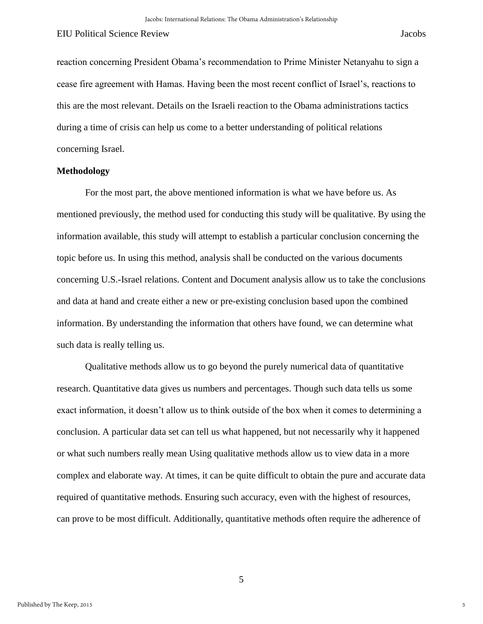reaction concerning President Obama's recommendation to Prime Minister Netanyahu to sign a cease fire agreement with Hamas. Having been the most recent conflict of Israel's, reactions to this are the most relevant. Details on the Israeli reaction to the Obama administrations tactics during a time of crisis can help us come to a better understanding of political relations concerning Israel.

#### **Methodology**

For the most part, the above mentioned information is what we have before us. As mentioned previously, the method used for conducting this study will be qualitative. By using the information available, this study will attempt to establish a particular conclusion concerning the topic before us. In using this method, analysis shall be conducted on the various documents concerning U.S.-Israel relations. Content and Document analysis allow us to take the conclusions and data at hand and create either a new or pre-existing conclusion based upon the combined information. By understanding the information that others have found, we can determine what such data is really telling us.

Qualitative methods allow us to go beyond the purely numerical data of quantitative research. Quantitative data gives us numbers and percentages. Though such data tells us some exact information, it doesn't allow us to think outside of the box when it comes to determining a conclusion. A particular data set can tell us what happened, but not necessarily why it happened or what such numbers really mean Using qualitative methods allow us to view data in a more complex and elaborate way. At times, it can be quite difficult to obtain the pure and accurate data required of quantitative methods. Ensuring such accuracy, even with the highest of resources, can prove to be most difficult. Additionally, quantitative methods often require the adherence of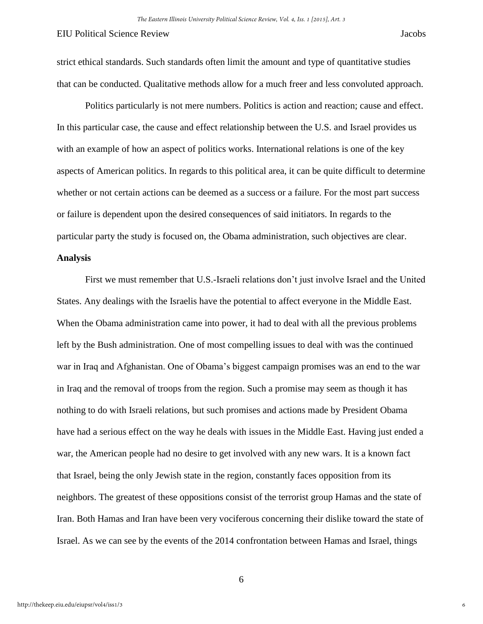strict ethical standards. Such standards often limit the amount and type of quantitative studies that can be conducted. Qualitative methods allow for a much freer and less convoluted approach.

 Politics particularly is not mere numbers. Politics is action and reaction; cause and effect. In this particular case, the cause and effect relationship between the U.S. and Israel provides us with an example of how an aspect of politics works. International relations is one of the key aspects of American politics. In regards to this political area, it can be quite difficult to determine whether or not certain actions can be deemed as a success or a failure. For the most part success or failure is dependent upon the desired consequences of said initiators. In regards to the particular party the study is focused on, the Obama administration, such objectives are clear.

#### **Analysis**

 First we must remember that U.S.-Israeli relations don't just involve Israel and the United States. Any dealings with the Israelis have the potential to affect everyone in the Middle East. When the Obama administration came into power, it had to deal with all the previous problems left by the Bush administration. One of most compelling issues to deal with was the continued war in Iraq and Afghanistan. One of Obama's biggest campaign promises was an end to the war in Iraq and the removal of troops from the region. Such a promise may seem as though it has nothing to do with Israeli relations, but such promises and actions made by President Obama have had a serious effect on the way he deals with issues in the Middle East. Having just ended a war, the American people had no desire to get involved with any new wars. It is a known fact that Israel, being the only Jewish state in the region, constantly faces opposition from its neighbors. The greatest of these oppositions consist of the terrorist group Hamas and the state of Iran. Both Hamas and Iran have been very vociferous concerning their dislike toward the state of Israel. As we can see by the events of the 2014 confrontation between Hamas and Israel, things

6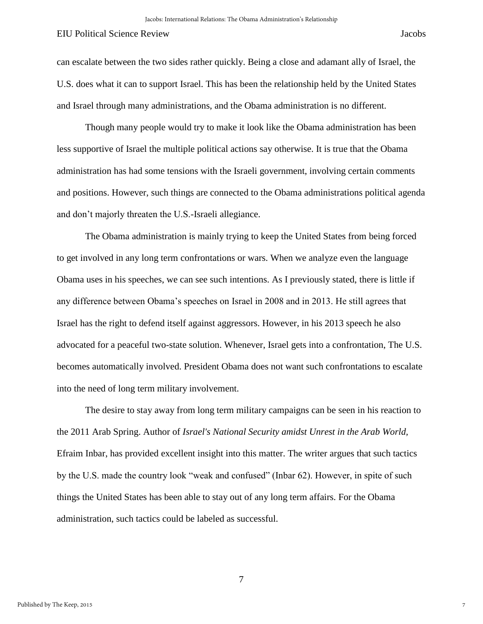Though many people would try to make it look like the Obama administration has been less supportive of Israel the multiple political actions say otherwise. It is true that the Obama administration has had some tensions with the Israeli government, involving certain comments and positions. However, such things are connected to the Obama administrations political agenda and don't majorly threaten the U.S.-Israeli allegiance.

The Obama administration is mainly trying to keep the United States from being forced to get involved in any long term confrontations or wars. When we analyze even the language Obama uses in his speeches, we can see such intentions. As I previously stated, there is little if any difference between Obama's speeches on Israel in 2008 and in 2013. He still agrees that Israel has the right to defend itself against aggressors. However, in his 2013 speech he also advocated for a peaceful two-state solution. Whenever, Israel gets into a confrontation, The U.S. becomes automatically involved. President Obama does not want such confrontations to escalate into the need of long term military involvement.

The desire to stay away from long term military campaigns can be seen in his reaction to the 2011 Arab Spring. Author of *Israel's National Security amidst Unrest in the Arab World,* Efraim Inbar, has provided excellent insight into this matter. The writer argues that such tactics by the U.S. made the country look "weak and confused" (Inbar 62). However, in spite of such things the United States has been able to stay out of any long term affairs. For the Obama administration, such tactics could be labeled as successful.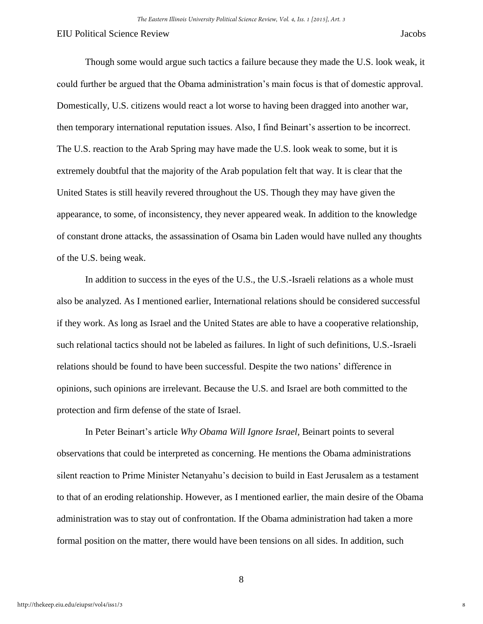8

Though some would argue such tactics a failure because they made the U.S. look weak, it could further be argued that the Obama administration's main focus is that of domestic approval. Domestically, U.S. citizens would react a lot worse to having been dragged into another war, then temporary international reputation issues. Also, I find Beinart's assertion to be incorrect. The U.S. reaction to the Arab Spring may have made the U.S. look weak to some, but it is extremely doubtful that the majority of the Arab population felt that way. It is clear that the United States is still heavily revered throughout the US. Though they may have given the appearance, to some, of inconsistency, they never appeared weak. In addition to the knowledge of constant drone attacks, the assassination of Osama bin Laden would have nulled any thoughts of the U.S. being weak.

In addition to success in the eyes of the U.S., the U.S.-Israeli relations as a whole must also be analyzed. As I mentioned earlier, International relations should be considered successful if they work. As long as Israel and the United States are able to have a cooperative relationship, such relational tactics should not be labeled as failures. In light of such definitions, U.S.-Israeli relations should be found to have been successful. Despite the two nations' difference in opinions, such opinions are irrelevant. Because the U.S. and Israel are both committed to the protection and firm defense of the state of Israel.

In Peter Beinart's article *Why Obama Will Ignore Israel,* Beinart points to several observations that could be interpreted as concerning. He mentions the Obama administrations silent reaction to Prime Minister Netanyahu's decision to build in East Jerusalem as a testament to that of an eroding relationship. However, as I mentioned earlier, the main desire of the Obama administration was to stay out of confrontation. If the Obama administration had taken a more formal position on the matter, there would have been tensions on all sides. In addition, such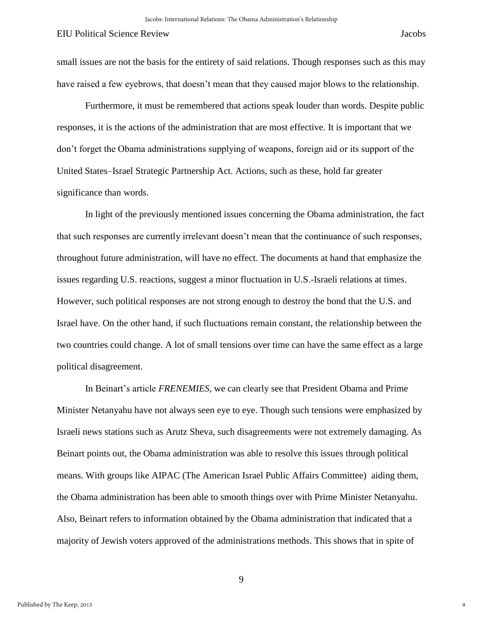Furthermore, it must be remembered that actions speak louder than words. Despite public responses, it is the actions of the administration that are most effective. It is important that we don't forget the Obama administrations supplying of weapons, foreign aid or its support of the United States–Israel Strategic Partnership Act. Actions, such as these, hold far greater significance than words.

In light of the previously mentioned issues concerning the Obama administration, the fact that such responses are currently irrelevant doesn't mean that the continuance of such responses, throughout future administration, will have no effect. The documents at hand that emphasize the issues regarding U.S. reactions, suggest a minor fluctuation in U.S.-Israeli relations at times. However, such political responses are not strong enough to destroy the bond that the U.S. and Israel have. On the other hand, if such fluctuations remain constant, the relationship between the two countries could change. A lot of small tensions over time can have the same effect as a large political disagreement.

In Beinart's article *FRENEMIES,* we can clearly see that President Obama and Prime Minister Netanyahu have not always seen eye to eye. Though such tensions were emphasized by Israeli news stations such as Arutz Sheva, such disagreements were not extremely damaging. As Beinart points out, the Obama administration was able to resolve this issues through political means. With groups like AIPAC (The American Israel Public Affairs Committee) aiding them, the Obama administration has been able to smooth things over with Prime Minister Netanyahu. Also, Beinart refers to information obtained by the Obama administration that indicated that a majority of Jewish voters approved of the administrations methods. This shows that in spite of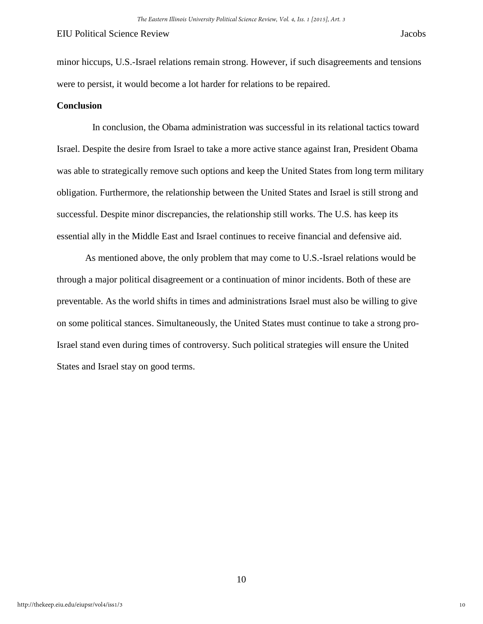minor hiccups, U.S.-Israel relations remain strong. However, if such disagreements and tensions were to persist, it would become a lot harder for relations to be repaired.

### **Conclusion**

In conclusion, the Obama administration was successful in its relational tactics toward Israel. Despite the desire from Israel to take a more active stance against Iran, President Obama was able to strategically remove such options and keep the United States from long term military obligation. Furthermore, the relationship between the United States and Israel is still strong and successful. Despite minor discrepancies, the relationship still works. The U.S. has keep its essential ally in the Middle East and Israel continues to receive financial and defensive aid.

 As mentioned above, the only problem that may come to U.S.-Israel relations would be through a major political disagreement or a continuation of minor incidents. Both of these are preventable. As the world shifts in times and administrations Israel must also be willing to give on some political stances. Simultaneously, the United States must continue to take a strong pro-Israel stand even during times of controversy. Such political strategies will ensure the United States and Israel stay on good terms.